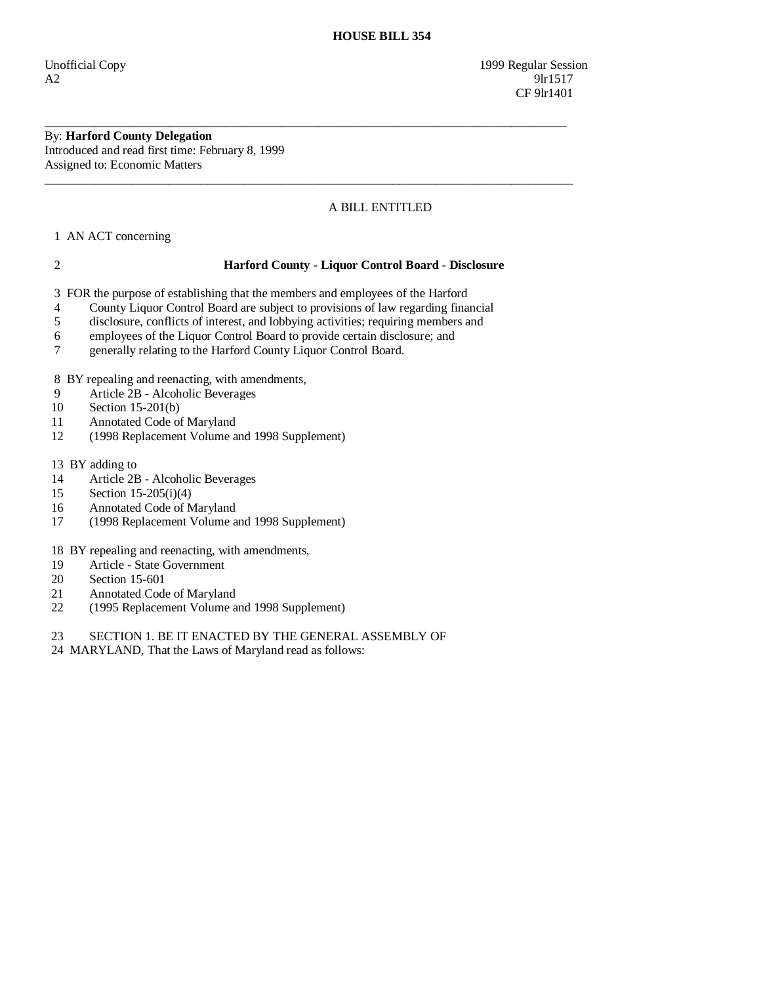#### By: **Harford County Delegation**  Introduced and read first time: February 8, 1999

Assigned to: Economic Matters  $\overline{\phantom{a}}$  ,  $\overline{\phantom{a}}$  ,  $\overline{\phantom{a}}$  ,  $\overline{\phantom{a}}$  ,  $\overline{\phantom{a}}$  ,  $\overline{\phantom{a}}$  ,  $\overline{\phantom{a}}$  ,  $\overline{\phantom{a}}$  ,  $\overline{\phantom{a}}$  ,  $\overline{\phantom{a}}$  ,  $\overline{\phantom{a}}$  ,  $\overline{\phantom{a}}$  ,  $\overline{\phantom{a}}$  ,  $\overline{\phantom{a}}$  ,  $\overline{\phantom{a}}$  ,  $\overline{\phantom{a}}$ 

# A BILL ENTITLED

1 AN ACT concerning

## 2 **Harford County - Liquor Control Board - Disclosure**

3 FOR the purpose of establishing that the members and employees of the Harford

4 County Liquor Control Board are subject to provisions of law regarding financial

\_\_\_\_\_\_\_\_\_\_\_\_\_\_\_\_\_\_\_\_\_\_\_\_\_\_\_\_\_\_\_\_\_\_\_\_\_\_\_\_\_\_\_\_\_\_\_\_\_\_\_\_\_\_\_\_\_\_\_\_\_\_\_\_\_\_\_\_\_\_\_\_\_\_\_\_\_\_\_\_\_\_\_\_

- 5 disclosure, conflicts of interest, and lobbying activities; requiring members and
- 6 employees of the Liquor Control Board to provide certain disclosure; and
- 7 generally relating to the Harford County Liquor Control Board.

8 BY repealing and reenacting, with amendments,

- 9 Article 2B Alcoholic Beverages
- 10 Section 15-201(b)
- 11 Annotated Code of Maryland
- 12 (1998 Replacement Volume and 1998 Supplement)
- 13 BY adding to
- 14 Article 2B Alcoholic Beverages
- 15 Section 15-205(i)(4)
- 16 Annotated Code of Maryland
- 17 (1998 Replacement Volume and 1998 Supplement)
- 18 BY repealing and reenacting, with amendments,
- 19 Article State Government
- 20 Section 15-601<br>21 Annotated Code
- 21 Annotated Code of Maryland<br>22 (1995 Replacement Volume a
- (1995 Replacement Volume and 1998 Supplement)
- 23 SECTION 1. BE IT ENACTED BY THE GENERAL ASSEMBLY OF
- 24 MARYLAND, That the Laws of Maryland read as follows: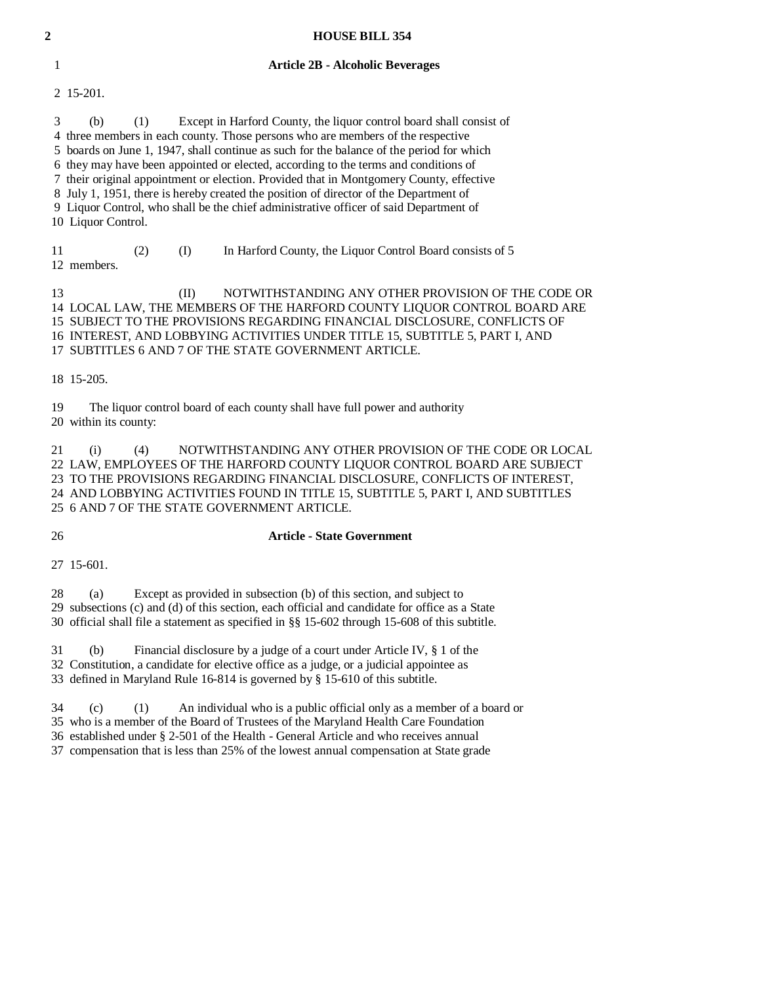| $\overline{c}$ | <b>HOUSE BILL 354</b>                                                                                                                                                                                                                                                                                                                                                                                                                                                                                                                                                                                                                                           |
|----------------|-----------------------------------------------------------------------------------------------------------------------------------------------------------------------------------------------------------------------------------------------------------------------------------------------------------------------------------------------------------------------------------------------------------------------------------------------------------------------------------------------------------------------------------------------------------------------------------------------------------------------------------------------------------------|
|                | <b>Article 2B - Alcoholic Beverages</b><br>1                                                                                                                                                                                                                                                                                                                                                                                                                                                                                                                                                                                                                    |
|                | 2 15-201.                                                                                                                                                                                                                                                                                                                                                                                                                                                                                                                                                                                                                                                       |
|                | 3<br>(b)<br>Except in Harford County, the liquor control board shall consist of<br>(1)<br>4 three members in each county. Those persons who are members of the respective<br>5 boards on June 1, 1947, shall continue as such for the balance of the period for which<br>6 they may have been appointed or elected, according to the terms and conditions of<br>7 their original appointment or election. Provided that in Montgomery County, effective<br>8 July 1, 1951, there is hereby created the position of director of the Department of<br>9 Liquor Control, who shall be the chief administrative officer of said Department of<br>10 Liquor Control. |
|                | 11<br>In Harford County, the Liquor Control Board consists of 5<br>(2)<br>(I)<br>12 members.                                                                                                                                                                                                                                                                                                                                                                                                                                                                                                                                                                    |
|                | 13<br>NOTWITHSTANDING ANY OTHER PROVISION OF THE CODE OR<br>(II)<br>14 LOCAL LAW, THE MEMBERS OF THE HARFORD COUNTY LIQUOR CONTROL BOARD ARE<br>15 SUBJECT TO THE PROVISIONS REGARDING FINANCIAL DISCLOSURE, CONFLICTS OF<br>16 INTEREST, AND LOBBYING ACTIVITIES UNDER TITLE 15, SUBTITLE 5, PART I, AND<br>17 SUBTITLES 6 AND 7 OF THE STATE GOVERNMENT ARTICLE.                                                                                                                                                                                                                                                                                              |
|                | 18 15-205.                                                                                                                                                                                                                                                                                                                                                                                                                                                                                                                                                                                                                                                      |
|                | 19<br>The liquor control board of each county shall have full power and authority<br>20 within its county:                                                                                                                                                                                                                                                                                                                                                                                                                                                                                                                                                      |
|                | NOTWITHSTANDING ANY OTHER PROVISION OF THE CODE OR LOCAL<br>21<br>(i)<br>(4)<br>22 LAW, EMPLOYEES OF THE HARFORD COUNTY LIQUOR CONTROL BOARD ARE SUBJECT<br>23 TO THE PROVISIONS REGARDING FINANCIAL DISCLOSURE, CONFLICTS OF INTEREST,<br>24 AND LOBBYING ACTIVITIES FOUND IN TITLE 15, SUBTITLE 5, PART I, AND SUBTITLES<br>25 6 AND 7 OF THE STATE GOVERNMENT ARTICLE.                                                                                                                                                                                                                                                                                       |

## 26 **Article - State Government**

27 15-601.

 28 (a) Except as provided in subsection (b) of this section, and subject to 29 subsections (c) and (d) of this section, each official and candidate for office as a State 30 official shall file a statement as specified in §§ 15-602 through 15-608 of this subtitle.

 31 (b) Financial disclosure by a judge of a court under Article IV, § 1 of the 32 Constitution, a candidate for elective office as a judge, or a judicial appointee as

33 defined in Maryland Rule 16-814 is governed by § 15-610 of this subtitle.

34 (c) (1) An individual who is a public official only as a member of a board or

35 who is a member of the Board of Trustees of the Maryland Health Care Foundation

36 established under § 2-501 of the Health - General Article and who receives annual

37 compensation that is less than 25% of the lowest annual compensation at State grade